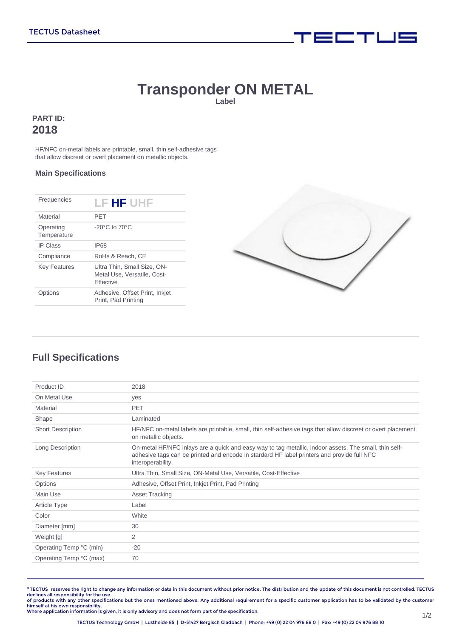# **Transponder ON METAL**

**Label**

### **PART ID: 2018**

HF/NFC on-metal labels are printable, small, thin self-adhesive tags that allow discreet or overt placement on metallic objects.

#### **Main Specifications**

| Frequencies              | LF HF UHF                                                                      |
|--------------------------|--------------------------------------------------------------------------------|
| Material                 | PFT                                                                            |
| Operating<br>Temperature | $-20^{\circ}$ C to $70^{\circ}$ C                                              |
| <b>IP Class</b>          | <b>IP68</b>                                                                    |
| Compliance               | RoHs & Reach, CE                                                               |
| <b>Key Features</b>      | Ultra Thin, Small Size, ON-<br>Metal Use. Versatile. Cost-<br><b>Fffective</b> |
| ptions                   | Adhesive, Offset Print, Inkjet<br>Print, Pad Printing                          |



i wa Mu

# **Full Specifications**

| Product ID               | 2018                                                                                                                                                                                                                     |
|--------------------------|--------------------------------------------------------------------------------------------------------------------------------------------------------------------------------------------------------------------------|
| On Metal Use             | yes                                                                                                                                                                                                                      |
| Material                 | <b>PET</b>                                                                                                                                                                                                               |
| Shape                    | Laminated                                                                                                                                                                                                                |
| <b>Short Description</b> | HF/NFC on-metal labels are printable, small, thin self-adhesive tags that allow discreet or overt placement<br>on metallic objects.                                                                                      |
| Long Description         | On-metal HF/NFC inlays are a quick and easy way to tag metallic, indoor assets. The small, thin self-<br>adhesive tags can be printed and encode in stardard HF label printers and provide full NFC<br>interoperability. |
| <b>Key Features</b>      | Ultra Thin, Small Size, ON-Metal Use, Versatile, Cost-Effective                                                                                                                                                          |
| Options                  | Adhesive, Offset Print, Inkjet Print, Pad Printing                                                                                                                                                                       |
| Main Use                 | <b>Asset Tracking</b>                                                                                                                                                                                                    |
| Article Type             | Label                                                                                                                                                                                                                    |
| Color                    | White                                                                                                                                                                                                                    |
| Diameter [mm]            | 30                                                                                                                                                                                                                       |
| Weight [g]               | 2                                                                                                                                                                                                                        |
| Operating Temp °C (min)  | $-20$                                                                                                                                                                                                                    |
| Operating Temp °C (max)  | 70                                                                                                                                                                                                                       |
|                          |                                                                                                                                                                                                                          |

**©** TECTUS reserves the right to change any information or data in this document without prior notice. The distribution and the update of this document is not controlled. TECTUS declines all responsibility for the use<br>of products with any other specifications but the ones mentioned above. Any additional requirement for a specific customer application has to be validated by the customer

himself at his own responsibility. Where application information is given, it is only advisory and does not form part of the specification.